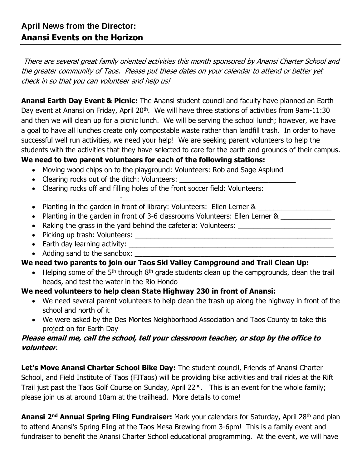There are several great family oriented activities this month sponsored by Anansi Charter School and the greater community of Taos. Please put these dates on your calendar to attend or better yet check in so that you can volunteer and help us!

**Anansi Earth Day Event & Picnic:** The Anansi student council and faculty have planned an Earth Day event at Anansi on Friday, April 20<sup>th</sup>. We will have three stations of activities from 9am-11:30 and then we will clean up for a picnic lunch. We will be serving the school lunch; however, we have a goal to have all lunches create only compostable waste rather than landfill trash. In order to have successful well run activities, we need your help! We are seeking parent volunteers to help the students with the activities that they have selected to care for the earth and grounds of their campus.

# **We need to two parent volunteers for each of the following stations:**

- Moving wood chips on to the playground: Volunteers: Rob and Sage Asplund
- Clearing rocks out of the ditch: Volunteers:

\_\_\_\_\_\_\_\_\_\_\_\_\_\_\_\_\_\_\_\_-\_\_\_\_\_\_\_\_\_\_\_\_\_\_\_\_\_\_\_

- Clearing rocks off and filling holes of the front soccer field: Volunteers:
- Planting in the garden in front of library: Volunteers: Ellen Lerner &
- Planting in the garden in front of 3-6 classrooms Volunteers: Ellen Lerner &
- Raking the grass in the yard behind the cafeteria: Volunteers: \_\_\_\_\_\_\_\_\_\_\_\_\_\_\_
- Picking up trash: Volunteers:
- Earth day learning activity:
- Adding sand to the sandbox:

## **We need two parents to join our Taos Ski Valley Campground and Trail Clean Up:**

 $\bullet$  Helping some of the 5<sup>th</sup> through 8<sup>th</sup> grade students clean up the campgrounds, clean the trail heads, and test the water in the Rio Hondo

### **We need volunteers to help clean State Highway 230 in front of Anansi:**

- We need several parent volunteers to help clean the trash up along the highway in front of the school and north of it
- We were asked by the Des Montes Neighborhood Association and Taos County to take this project on for Earth Day

### **Please email me, call the school, tell your classroom teacher, or stop by the office to volunteer.**

Let's Move Anansi Charter School Bike Day: The student council, Friends of Anansi Charter School, and Field Institute of Taos (FITaos) will be providing bike activities and trail rides at the Rift Trail just past the Taos Golf Course on Sunday, April 22<sup>nd</sup>. This is an event for the whole family; please join us at around 10am at the trailhead. More details to come!

**Anansi 2<sup>nd</sup> Annual Spring Fling Fundraiser:** Mark your calendars for Saturday, April 28<sup>th</sup> and plan to attend Anansi's Spring Fling at the Taos Mesa Brewing from 3-6pm! This is a family event and fundraiser to benefit the Anansi Charter School educational programming. At the event, we will have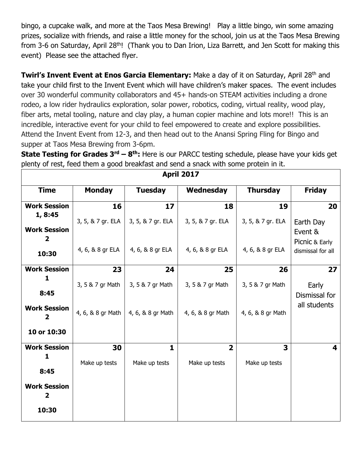bingo, a cupcake walk, and more at the Taos Mesa Brewing! Play a little bingo, win some amazing prizes, socialize with friends, and raise a little money for the school, join us at the Taos Mesa Brewing from 3-6 on Saturday, April 28<sup>th</sup>! (Thank you to Dan Irion, Liza Barrett, and Jen Scott for making this event) Please see the attached flyer.

**Twirl's Invent Event at Enos Garcia Elementary:** Make a day of it on Saturday, April 28<sup>th</sup> and take your child first to the Invent Event which will have children's maker spaces. The event includes over 30 wonderful community collaborators and 45+ hands-on STEAM activities including a drone rodeo, a low rider hydraulics exploration, solar power, robotics, coding, virtual reality, wood play, fiber arts, metal tooling, nature and clay play, a human copier machine and lots more!! This is an incredible, interactive event for your child to feel empowered to create and explore possibilities. Attend the Invent Event from 12-3, and then head out to the Anansi Spring Fling for Bingo and supper at Taos Mesa Brewing from 3-6pm.

**State Testing for Grades 3rd – 8 th:** Here is our PARCC testing schedule, please have your kids get plenty of rest, feed them a good breakfast and send a snack with some protein in it.

| <b>April 2017</b>              |                   |                   |                         |                   |                               |
|--------------------------------|-------------------|-------------------|-------------------------|-------------------|-------------------------------|
| <b>Time</b>                    | <b>Monday</b>     | <b>Tuesday</b>    | Wednesday               | <b>Thursday</b>   | <b>Friday</b>                 |
| <b>Work Session</b>            | 16                | 17                | 18                      | 19                | 20                            |
| 1, 8:45<br><b>Work Session</b> | 3, 5, & 7 gr. ELA | 3, 5, & 7 gr. ELA | 3, 5, & 7 gr. ELA       | 3, 5, & 7 gr. ELA | Earth Day                     |
| 2                              |                   |                   |                         |                   | Event &<br>Picnic & Early     |
| 10:30                          | 4, 6, & 8 gr ELA  | 4, 6, & 8 gr ELA  | 4, 6, & 8 gr ELA        | 4, 6, & 8 gr ELA  | dismissal for all             |
| <b>Work Session</b>            | 23                | 24                | 25                      | 26                | 27                            |
| 1                              | 3, 5 & 7 gr Math  | 3, 5 & 7 gr Math  | 3, 5 & 7 gr Math        | 3, 5 & 7 gr Math  | Early                         |
| 8:45                           |                   |                   |                         |                   | Dismissal for<br>all students |
| <b>Work Session</b><br>2       | 4, 6, & 8 gr Math | 4, 6, & 8 gr Math | 4, 6, & 8 gr Math       | 4, 6, & 8 gr Math |                               |
| 10 or 10:30                    |                   |                   |                         |                   |                               |
| <b>Work Session</b>            | 30                | $\mathbf{1}$      | $\overline{\mathbf{2}}$ | 3                 | 4                             |
| 1                              | Make up tests     | Make up tests     | Make up tests           | Make up tests     |                               |
| 8:45                           |                   |                   |                         |                   |                               |
| <b>Work Session</b><br>2       |                   |                   |                         |                   |                               |
| 10:30                          |                   |                   |                         |                   |                               |